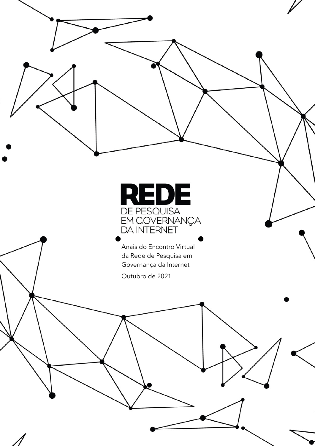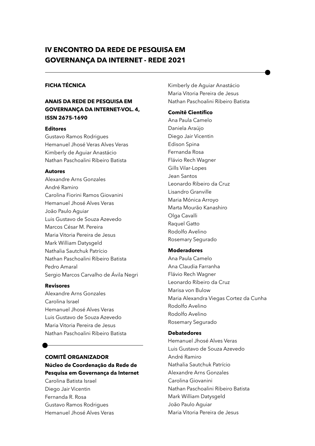# **IV ENCONTRO DA REDE DE PESQUISA EM GOVERNANÇA DA INTERNET - REDE 2021**

## **FICHA TÉCNICA**

## **ANAIS DA REDE DE PESQUISA EM GOVERNANÇA DA INTERNET-VOL. 4, ISSN 2675-1690**

#### **Editores**

Gustavo Ramos Rodrigues Hemanuel Jhosé Veras Alves Veras Kimberly de Aguiar Anastácio Nathan Paschoalini Ribeiro Batista

#### **Autores**

Alexandre Arns Gonzales André Ramiro Carolina Fiorini Ramos Giovanini Hemanuel Jhosé Alves Veras João Paulo Aguiar Luis Gustavo de Souza Azevedo Marcos César M. Pereira Maria Vitoria Pereira de Jesus Mark William Datysgeld Nathalia Sautchuk Patrício Nathan Paschoalini Ribeiro Batista Pedro Amaral Sergio Marcos Carvalho de Ávila Negri

#### **Revisores**

Alexandre Arns Gonzales Carolina Israel Hemanuel Jhosé Alves Veras Luis Gustavo de Souza Azevedo Maria Vitoria Pereira de Jesus Nathan Paschoalini Ribeiro Batista

# **COMITÊ ORGANIZADOR Núcleo de Coordenação da Rede de Pesquisa em Governança da Internet**

Carolina Batista Israel Diego Jair Vicentin Fernanda R. Rosa Gustavo Ramos Rodrigues Hemanuel Jhosé Alves Veras Kimberly de Aguiar Anastácio Maria Vitoria Pereira de Jesus Nathan Paschoalini Ribeiro Batista

#### **Comitê Científico**

Ana Paula Camelo Daniela Araújo Diego Jair Vicentin Edison Spina Fernanda Rosa Flávio Rech Wagner Gills Vilar-Lopes Jean Santos Leonardo Ribeiro da Cruz Lisandro Granville Maria Mónica Arroyo Marta Mourão Kanashiro Olga Cavalli Raquel Gatto Rodolfo Avelino Rosemary Segurado

#### **Moderadores**

Ana Paula Camelo Ana Claudia Farranha Flávio Rech Wagner Leonardo Ribeiro da Cruz Marisa von Bulow Maria Alexandra Viegas Cortez da Cunha Rodolfo Avelino Rodolfo Avelino Rosemary Segurado

#### **Debatedores**

Hemanuel Jhosé Alves Veras Luis Gustavo de Souza Azevedo André Ramiro Nathalia Sautchuk Patrício Alexandre Arns Gonzales Carolina Giovanini Nathan Paschoalini Ribeiro Batista Mark William Datysgeld João Paulo Aguiar Maria Vitoria Pereira de Jesus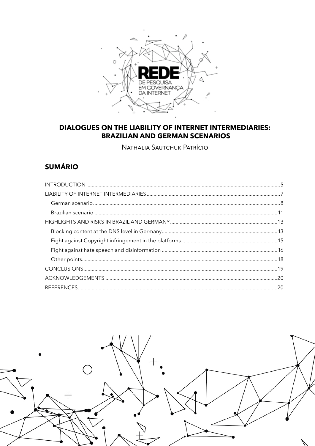

# **DIALOGUES ON THE LIABILITY OF INTERNET INTERMEDIARIES: BRAZILIAN AND GERMAN SCENARIOS**

NATHALIA SAUTCHUK PATRÍCIO

# **SUMÁRIO**

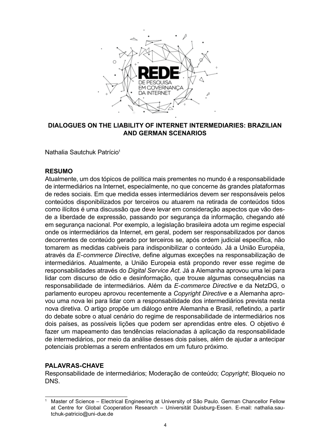

## **DIALOGUES ON THE LIABILITY OF INTERNET INTERMEDIARIES: BRAZILIAN AND GERMAN SCENARIOS**

Nathalia Sautchuk Patrício<sup>1</sup>

## **RESUMO**

Atualmente, um dos tópicos de política mais prementes no mundo é a responsabilidade de intermediários na Internet, especialmente, no que concerne às grandes plataformas de redes sociais. Em que medida esses intermediários devem ser responsáveis pelos conteúdos disponibilizados por terceiros ou atuarem na retirada de conteúdos tidos como ilícitos é uma discussão que deve levar em consideração aspectos que vão desde a liberdade de expressão, passando por segurança da informação, chegando até em segurança nacional. Por exemplo, a legislação brasileira adota um regime especial onde os intermediários da Internet, em geral, podem ser responsabilizados por danos decorrentes de conteúdo gerado por terceiros se, após ordem judicial específica, não tomarem as medidas cabíveis para indisponibilizar o conteúdo. Já a União Européia, através da *E-commerce Directive*, define algumas exceções na responsabilização de intermediários. Atualmente, a União Europeia está propondo rever esse regime de responsabilidades através do *Digital Service Act*. Já a Alemanha aprovou uma lei para lidar com discurso de ódio e desinformação, que trouxe algumas consequências na responsabilidade de intermediários. Além da *E-commerce Directive* e da NetzDG, o parlamento europeu aprovou recentemente a *Copyright Directive* e a Alemanha aprovou uma nova lei para lidar com a responsabilidade dos intermediários prevista nesta nova diretiva. O artigo propõe um diálogo entre Alemanha e Brasil, refletindo, a partir do debate sobre o atual cenário do regime de responsabilidade de intermediários nos dois países, as possíveis lições que podem ser aprendidas entre eles. O objetivo é fazer um mapeamento das tendências relacionadas à aplicação da responsabilidade de intermediários, por meio da análise desses dois países, além de ajudar a antecipar potenciais problemas a serem enfrentados em um futuro próximo.

# **PALAVRAS-CHAVE**

Responsabilidade de intermediários; Moderação de conteúdo; *Copyright*; Bloqueio no DNS.

<sup>1</sup> Master of Science – Electrical Engineering at University of São Paulo. German Chancellor Fellow at Centre for Global Cooperation Research – Universität Duisburg-Essen. E-mail: nathalia.sautchuk-patricio@uni-due.de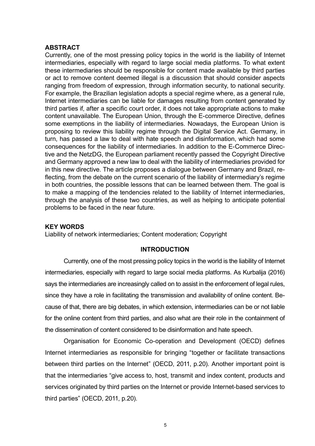## <span id="page-4-0"></span>**ABSTRACT**

Currently, one of the most pressing policy topics in the world is the liability of Internet intermediaries, especially with regard to large social media platforms. To what extent these intermediaries should be responsible for content made available by third parties or act to remove content deemed illegal is a discussion that should consider aspects ranging from freedom of expression, through information security, to national security. For example, the Brazilian legislation adopts a special regime where, as a general rule, Internet intermediaries can be liable for damages resulting from content generated by third parties if, after a specific court order, it does not take appropriate actions to make content unavailable. The European Union, through the E-commerce Directive, defines some exemptions in the liability of intermediaries. Nowadays, the European Union is proposing to review this liability regime through the Digital Service Act. Germany, in turn, has passed a law to deal with hate speech and disinformation, which had some consequences for the liability of intermediaries. In addition to the E-Commerce Directive and the NetzDG, the European parliament recently passed the Copyright Directive and Germany approved a new law to deal with the liability of intermediaries provided for in this new directive. The article proposes a dialogue between Germany and Brazil, reflecting, from the debate on the current scenario of the liability of intermediary's regime in both countries, the possible lessons that can be learned between them. The goal is to make a mapping of the tendencies related to the liability of Internet intermediaries, through the analysis of these two countries, as well as helping to anticipate potential problems to be faced in the near future.

## **KEY WORDS**

Liability of network intermediaries; Content moderation; Copyright

### **INTRODUCTION**

Currently, one of the most pressing policy topics in the world is the liability of Internet intermediaries, especially with regard to large social media platforms. As Kurbalija (2016) says the intermediaries are increasingly called on to assist in the enforcement of legal rules, since they have a role in facilitating the transmission and availability of online content. Because of that, there are big debates, in which extension, intermediaries can be or not liable for the online content from third parties, and also what are their role in the containment of the dissemination of content considered to be disinformation and hate speech.

Organisation for Economic Co-operation and Development (OECD) defines Internet intermediaries as responsible for bringing "together or facilitate transactions between third parties on the Internet" (OECD, 2011, p.20). Another important point is that the intermediaries "give access to, host, transmit and index content, products and services originated by third parties on the Internet or provide Internet-based services to third parties" (OECD, 2011, p.20).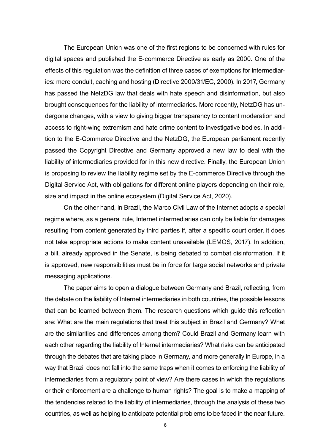The European Union was one of the first regions to be concerned with rules for digital spaces and published the E-commerce Directive as early as 2000. One of the effects of this regulation was the definition of three cases of exemptions for intermediaries: mere conduit, caching and hosting (Directive 2000/31/EC, 2000). In 2017, Germany has passed the NetzDG law that deals with hate speech and disinformation, but also brought consequences for the liability of intermediaries. More recently, NetzDG has undergone changes, with a view to giving bigger transparency to content moderation and access to right-wing extremism and hate crime content to investigative bodies. In addition to the E-Commerce Directive and the NetzDG, the European parliament recently passed the Copyright Directive and Germany approved a new law to deal with the liability of intermediaries provided for in this new directive. Finally, the European Union is proposing to review the liability regime set by the E-commerce Directive through the Digital Service Act, with obligations for different online players depending on their role, size and impact in the online ecosystem (Digital Service Act, 2020).

On the other hand, in Brazil, the Marco Civil Law of the Internet adopts a special regime where, as a general rule, Internet intermediaries can only be liable for damages resulting from content generated by third parties if, after a specific court order, it does not take appropriate actions to make content unavailable (LEMOS, 2017). In addition, a bill, already approved in the Senate, is being debated to combat disinformation. If it is approved, new responsibilities must be in force for large social networks and private messaging applications.

The paper aims to open a dialogue between Germany and Brazil, reflecting, from the debate on the liability of Internet intermediaries in both countries, the possible lessons that can be learned between them. The research questions which guide this reflection are: What are the main regulations that treat this subject in Brazil and Germany? What are the similarities and differences among them? Could Brazil and Germany learn with each other regarding the liability of Internet intermediaries? What risks can be anticipated through the debates that are taking place in Germany, and more generally in Europe, in a way that Brazil does not fall into the same traps when it comes to enforcing the liability of intermediaries from a regulatory point of view? Are there cases in which the regulations or their enforcement are a challenge to human rights? The goal is to make a mapping of the tendencies related to the liability of intermediaries, through the analysis of these two countries, as well as helping to anticipate potential problems to be faced in the near future.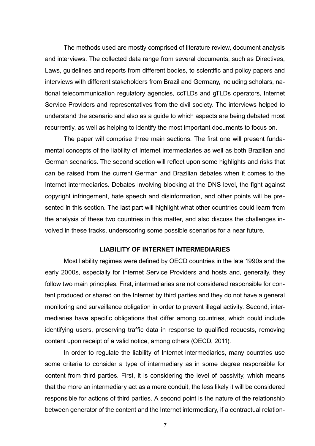<span id="page-6-0"></span>The methods used are mostly comprised of literature review, document analysis and interviews. The collected data range from several documents, such as Directives, Laws, guidelines and reports from different bodies, to scientific and policy papers and interviews with different stakeholders from Brazil and Germany, including scholars, national telecommunication regulatory agencies, ccTLDs and gTLDs operators, Internet Service Providers and representatives from the civil society. The interviews helped to understand the scenario and also as a guide to which aspects are being debated most recurrently, as well as helping to identify the most important documents to focus on.

The paper will comprise three main sections. The first one will present fundamental concepts of the liability of Internet intermediaries as well as both Brazilian and German scenarios. The second section will reflect upon some highlights and risks that can be raised from the current German and Brazilian debates when it comes to the Internet intermediaries. Debates involving blocking at the DNS level, the fight against copyright infringement, hate speech and disinformation, and other points will be presented in this section. The last part will highlight what other countries could learn from the analysis of these two countries in this matter, and also discuss the challenges involved in these tracks, underscoring some possible scenarios for a near future.

### **LIABILITY OF INTERNET INTERMEDIARIES**

Most liability regimes were defined by OECD countries in the late 1990s and the early 2000s, especially for Internet Service Providers and hosts and, generally, they follow two main principles. First, intermediaries are not considered responsible for content produced or shared on the Internet by third parties and they do not have a general monitoring and surveillance obligation in order to prevent illegal activity. Second, intermediaries have specific obligations that differ among countries, which could include identifying users, preserving traffic data in response to qualified requests, removing content upon receipt of a valid notice, among others (OECD, 2011).

In order to regulate the liability of Internet intermediaries, many countries use some criteria to consider a type of intermediary as in some degree responsible for content from third parties. First, it is considering the level of passivity, which means that the more an intermediary act as a mere conduit, the less likely it will be considered responsible for actions of third parties. A second point is the nature of the relationship between generator of the content and the Internet intermediary, if a contractual relation-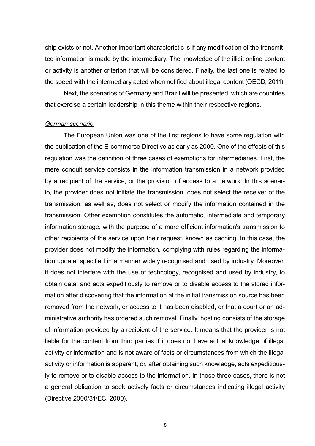<span id="page-7-0"></span>ship exists or not. Another important characteristic is if any modification of the transmitted information is made by the intermediary. The knowledge of the illicit online content or activity is another criterion that will be considered. Finally, the last one is related to the speed with the intermediary acted when notified about illegal content (OECD, 2011).

Next, the scenarios of Germany and Brazil will be presented, which are countries that exercise a certain leadership in this theme within their respective regions.

#### *German scenario*

The European Union was one of the first regions to have some regulation with the publication of the E-commerce Directive as early as 2000. One of the effects of this regulation was the definition of three cases of exemptions for intermediaries. First, the mere conduit service consists in the information transmission in a network provided by a recipient of the service, or the provision of access to a network. In this scenario, the provider does not initiate the transmission, does not select the receiver of the transmission, as well as, does not select or modify the information contained in the transmission. Other exemption constitutes the automatic, intermediate and temporary information storage, with the purpose of a more efficient information's transmission to other recipients of the service upon their request, known as caching. In this case, the provider does not modify the information, complying with rules regarding the information update, specified in a manner widely recognised and used by industry. Moreover, it does not interfere with the use of technology, recognised and used by industry, to obtain data, and acts expeditiously to remove or to disable access to the stored information after discovering that the information at the initial transmission source has been removed from the network, or access to it has been disabled, or that a court or an administrative authority has ordered such removal. Finally, hosting consists of the storage of information provided by a recipient of the service. It means that the provider is not liable for the content from third parties if it does not have actual knowledge of illegal activity or information and is not aware of facts or circumstances from which the illegal activity or information is apparent; or, after obtaining such knowledge, acts expeditiously to remove or to disable access to the information. In those three cases, there is not a general obligation to seek actively facts or circumstances indicating illegal activity (Directive 2000/31/EC, 2000).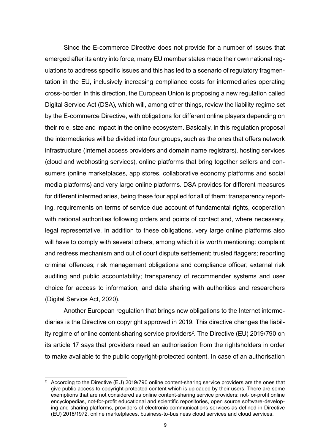Since the E-commerce Directive does not provide for a number of issues that emerged after its entry into force, many EU member states made their own national regulations to address specific issues and this has led to a scenario of regulatory fragmentation in the EU, inclusively increasing compliance costs for intermediaries operating cross-border. In this direction, the European Union is proposing a new regulation called Digital Service Act (DSA), which will, among other things, review the liability regime set by the E-commerce Directive, with obligations for different online players depending on their role, size and impact in the online ecosystem. Basically, in this regulation proposal the intermediaries will be divided into four groups, such as the ones that offers network infrastructure (Internet access providers and domain name registrars), hosting services (cloud and webhosting services), online platforms that bring together sellers and consumers (online marketplaces, app stores, collaborative economy platforms and social media platforms) and very large online platforms. DSA provides for different measures for different intermediaries, being these four applied for all of them: transparency reporting, requirements on terms of service due account of fundamental rights, cooperation with national authorities following orders and points of contact and, where necessary, legal representative. In addition to these obligations, very large online platforms also will have to comply with several others, among which it is worth mentioning: complaint and redress mechanism and out of court dispute settlement; trusted flaggers; reporting criminal offences; risk management obligations and compliance officer; external risk auditing and public accountability; transparency of recommender systems and user choice for access to information; and data sharing with authorities and researchers (Digital Service Act, 2020).

Another European regulation that brings new obligations to the Internet intermediaries is the Directive on copyright approved in 2019. This directive changes the liability regime of online content-sharing service providers<sup>2</sup>. The Directive (EU) 2019/790 on its article 17 says that providers need an authorisation from the rightsholders in order to make available to the public copyright-protected content. In case of an authorisation

 $2 \text{ }\Lambda$  According to the Directive (EU) 2019/790 online content-sharing service providers are the ones that give public access to copyright-protected content which is uploaded by their users. There are some exemptions that are not considered as online content-sharing service providers: not-for-profit online encyclopedias, not-for-profit educational and scientific repositories, open source software-developing and sharing platforms, providers of electronic communications services as defined in Directive (EU) 2018/1972, online marketplaces, business-to-business cloud services and cloud services.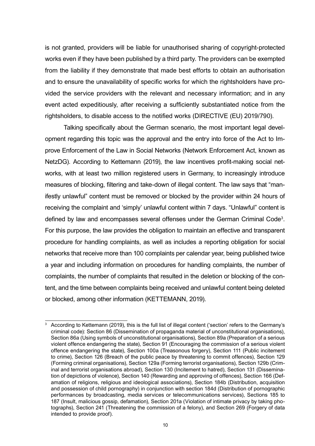is not granted, providers will be liable for unauthorised sharing of copyright-protected works even if they have been published by a third party. The providers can be exempted from the liability if they demonstrate that made best efforts to obtain an authorisation and to ensure the unavailability of specific works for which the rightsholders have provided the service providers with the relevant and necessary information; and in any event acted expeditiously, after receiving a sufficiently substantiated notice from the rightsholders, to disable access to the notified works (DIRECTIVE (EU) 2019/790).

Talking specifically about the German scenario, the most important legal development regarding this topic was the approval and the entry into force of the Act to Improve Enforcement of the Law in Social Networks (Network Enforcement Act, known as NetzDG). According to Kettemann (2019), the law incentives profit-making social networks, with at least two million registered users in Germany, to increasingly introduce measures of blocking, filtering and take-down of illegal content. The law says that "manifestly unlawful" content must be removed or blocked by the provider within 24 hours of receiving the complaint and 'simply' unlawful content within 7 days. "Unlawful" content is defined by law and encompasses several offenses under the German Criminal Code<sup>3</sup>. For this purpose, the law provides the obligation to maintain an effective and transparent procedure for handling complaints, as well as includes a reporting obligation for social networks that receive more than 100 complaints per calendar year, being published twice a year and including information on procedures for handling complaints, the number of complaints, the number of complaints that resulted in the deletion or blocking of the content, and the time between complaints being received and unlawful content being deleted or blocked, among other information (KETTEMANN, 2019).

<sup>3</sup> According to Kettemann (2019), this is the full list of illegal content ('section' refers to the Germany's criminal code): Section 86 (Dissemination of propaganda material of unconstitutional organisations), Section 86a (Using symbols of unconstitutional organisations), Section 89a (Preparation of a serious violent offence endangering the state), Section 91 (Encouraging the commission of a serious violent offence endangering the state), Section 100a (Treasonous forgery), Section 111 (Public incitement to crime), Section 126 (Breach of the public peace by threatening to commit offences), Section 129 (Forming criminal organisations), Section 129a (Forming terrorist organisations), Section 129b (Criminal and terrorist organisations abroad), Section 130 (Incitement to hatred), Section 131 (Dissemination of depictions of violence), Section 140 (Rewarding and approving of offences), Section 166 (Defamation of religions, religious and ideological associations), Section 184b (Distribution, acquisition and possession of child pornography) in conjunction with section 184d (Distribution of pornographic performances by broadcasting, media services or telecommunications services), Sections 185 to 187 (Insult, malicious gossip, defamation), Section 201a (Violation of intimate privacy by taking photographs), Section 241 (Threatening the commission of a felony), and Section 269 (Forgery of data intended to provide proof).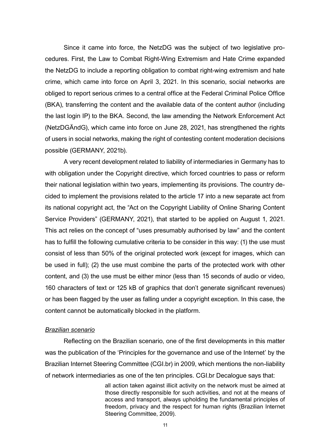<span id="page-10-0"></span>Since it came into force, the NetzDG was the subject of two legislative procedures. First, the Law to Combat Right-Wing Extremism and Hate Crime expanded the NetzDG to include a reporting obligation to combat right-wing extremism and hate crime, which came into force on April 3, 2021. In this scenario, social networks are obliged to report serious crimes to a central office at the Federal Criminal Police Office (BKA), transferring the content and the available data of the content author (including the last login IP) to the BKA. Second, the law amending the Network Enforcement Act (NetzDGÄndG), which came into force on June 28, 2021, has strengthened the rights of users in social networks, making the right of contesting content moderation decisions possible (GERMANY, 2021b).

A very recent development related to liability of intermediaries in Germany has to with obligation under the Copyright directive, which forced countries to pass or reform their national legislation within two years, implementing its provisions. The country decided to implement the provisions related to the article 17 into a new separate act from its national copyright act, the "Act on the Copyright Liability of Online Sharing Content Service Providers" (GERMANY, 2021), that started to be applied on August 1, 2021. This act relies on the concept of "uses presumably authorised by law" and the content has to fulfill the following cumulative criteria to be consider in this way: (1) the use must consist of less than 50% of the original protected work (except for images, which can be used in full); (2) the use must combine the parts of the protected work with other content, and (3) the use must be either minor (less than 15 seconds of audio or video, 160 characters of text or 125 kB of graphics that don't generate significant revenues) or has been flagged by the user as falling under a copyright exception. In this case, the content cannot be automatically blocked in the platform.

### *Brazilian scenario*

Reflecting on the Brazilian scenario, one of the first developments in this matter was the publication of the 'Principles for the governance and use of the Internet' by the Brazilian Internet Steering Committee (CGI.br) in 2009, which mentions the non-liability of network intermediaries as one of the ten principles. CGI.br Decalogue says that:

> all action taken against illicit activity on the network must be aimed at those directly responsible for such activities, and not at the means of access and transport, always upholding the fundamental principles of freedom, privacy and the respect for human rights (Brazilian Internet Steering Committee, 2009).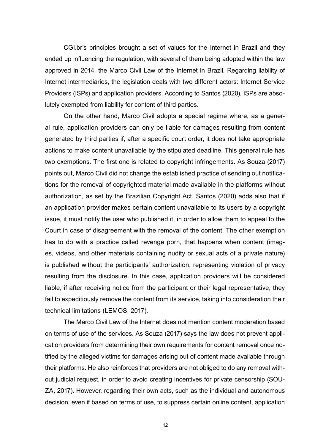CGI.br's principles brought a set of values for the Internet in Brazil and they ended up influencing the regulation, with several of them being adopted within the law approved in 2014, the Marco Civil Law of the Internet in Brazil. Regarding liability of Internet intermediaries, the legislation deals with two different actors: Internet Service Providers (ISPs) and application providers. According to Santos (2020), ISPs are absolutely exempted from liability for content of third parties.

On the other hand, Marco Civil adopts a special regime where, as a general rule, application providers can only be liable for damages resulting from content generated by third parties if, after a specific court order, it does not take appropriate actions to make content unavailable by the stipulated deadline. This general rule has two exemptions. The first one is related to copyright infringements. As Souza (2017) points out, Marco Civil did not change the established practice of sending out notifications for the removal of copyrighted material made available in the platforms without authorization, as set by the Brazilian Copyright Act. Santos (2020) adds also that if an application provider makes certain content unavailable to its users by a copyright issue, it must notify the user who published it, in order to allow them to appeal to the Court in case of disagreement with the removal of the content. The other exemption has to do with a practice called revenge porn, that happens when content (images, videos, and other materials containing nudity or sexual acts of a private nature) is published without the participants' authorization, representing violation of privacy resulting from the disclosure. In this case, application providers will be considered liable, if after receiving notice from the participant or their legal representative, they fail to expeditiously remove the content from its service, taking into consideration their technical limitations (LEMOS, 2017).

The Marco Civil Law of the Internet does not mention content moderation based on terms of use of the services. As Souza (2017) says the law does not prevent application providers from determining their own requirements for content removal once notified by the alleged victims for damages arising out of content made available through their platforms. He also reinforces that providers are not obliged to do any removal without judicial request, in order to avoid creating incentives for private censorship (SOU-ZA, 2017). However, regarding their own acts, such as the individual and autonomous decision, even if based on terms of use, to suppress certain online content, application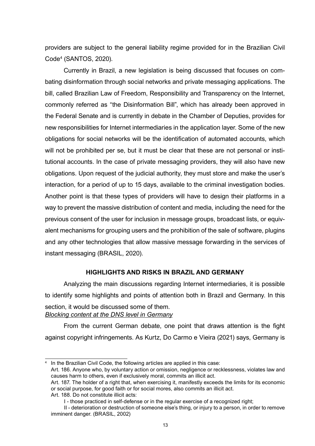<span id="page-12-0"></span>providers are subject to the general liability regime provided for in the Brazilian Civil Code4 (SANTOS, 2020).

Currently in Brazil, a new legislation is being discussed that focuses on combating disinformation through social networks and private messaging applications. The bill, called Brazilian Law of Freedom, Responsibility and Transparency on the Internet, commonly referred as "the Disinformation Bill", which has already been approved in the Federal Senate and is currently in debate in the Chamber of Deputies, provides for new responsibilities for Internet intermediaries in the application layer. Some of the new obligations for social networks will be the identification of automated accounts, which will not be prohibited per se, but it must be clear that these are not personal or institutional accounts. In the case of private messaging providers, they will also have new obligations. Upon request of the judicial authority, they must store and make the user's interaction, for a period of up to 15 days, available to the criminal investigation bodies. Another point is that these types of providers will have to design their platforms in a way to prevent the massive distribution of content and media, including the need for the previous consent of the user for inclusion in message groups, broadcast lists, or equivalent mechanisms for grouping users and the prohibition of the sale of software, plugins and any other technologies that allow massive message forwarding in the services of instant messaging (BRASIL, 2020).

### **HIGHLIGHTS AND RISKS IN BRAZIL AND GERMANY**

Analyzing the main discussions regarding Internet intermediaries, it is possible to identify some highlights and points of attention both in Brazil and Germany. In this section, it would be discussed some of them. *Blocking content at the DNS level in Germany*

From the current German debate, one point that draws attention is the fight against copyright infringements. As Kurtz, Do Carmo e Vieira (2021) says, Germany is

Art. 188. Do not constitute illicit acts:

In the Brazilian Civil Code, the following articles are applied in this case:

Art. 186. Anyone who, by voluntary action or omission, negligence or recklessness, violates law and causes harm to others, even if exclusively moral, commits an illicit act.

Art. 187. The holder of a right that, when exercising it, manifestly exceeds the limits for its economic or social purpose, for good faith or for social mores, also commits an illicit act.

I - those practiced in self-defense or in the regular exercise of a recognized right;

II - deterioration or destruction of someone else's thing, or injury to a person, in order to remove imminent danger. (BRASIL, 2002)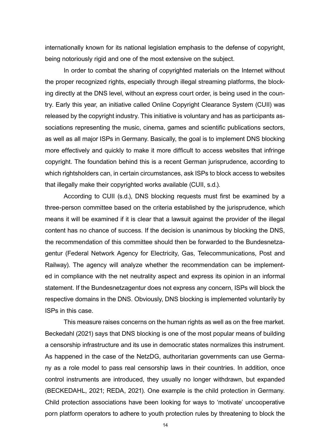internationally known for its national legislation emphasis to the defense of copyright, being notoriously rigid and one of the most extensive on the subject.

In order to combat the sharing of copyrighted materials on the Internet without the proper recognized rights, especially through illegal streaming platforms, the blocking directly at the DNS level, without an express court order, is being used in the country. Early this year, an initiative called Online Copyright Clearance System (CUII) was released by the copyright industry. This initiative is voluntary and has as participants associations representing the music, cinema, games and scientific publications sectors, as well as all major ISPs in Germany. Basically, the goal is to implement DNS blocking more effectively and quickly to make it more difficult to access websites that infringe copyright. The foundation behind this is a recent German jurisprudence, according to which rightsholders can, in certain circumstances, ask ISPs to block access to websites that illegally make their copyrighted works available (CUII, s.d.).

According to CUII (s.d.), DNS blocking requests must first be examined by a three-person committee based on the criteria established by the jurisprudence, which means it will be examined if it is clear that a lawsuit against the provider of the illegal content has no chance of success. If the decision is unanimous by blocking the DNS, the recommendation of this committee should then be forwarded to the Bundesnetzagentur (Federal Network Agency for Electricity, Gas, Telecommunications, Post and Railway). The agency will analyze whether the recommendation can be implemented in compliance with the net neutrality aspect and express its opinion in an informal statement. If the Bundesnetzagentur does not express any concern, ISPs will block the respective domains in the DNS. Obviously, DNS blocking is implemented voluntarily by ISPs in this case.

This measure raises concerns on the human rights as well as on the free market. Beckedahl (2021) says that DNS blocking is one of the most popular means of building a censorship infrastructure and its use in democratic states normalizes this instrument. As happened in the case of the NetzDG, authoritarian governments can use Germany as a role model to pass real censorship laws in their countries. In addition, once control instruments are introduced, they usually no longer withdrawn, but expanded (BECKEDAHL, 2021; REDA, 2021). One example is the child protection in Germany. Child protection associations have been looking for ways to 'motivate' uncooperative porn platform operators to adhere to youth protection rules by threatening to block the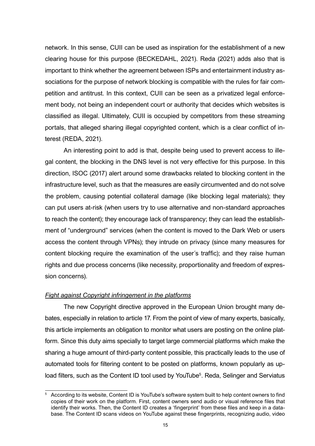<span id="page-14-0"></span>network. In this sense, CUII can be used as inspiration for the establishment of a new clearing house for this purpose (BECKEDAHL, 2021). Reda (2021) adds also that is important to think whether the agreement between ISPs and entertainment industry associations for the purpose of network blocking is compatible with the rules for fair competition and antitrust. In this context, CUII can be seen as a privatized legal enforcement body, not being an independent court or authority that decides which websites is classified as illegal. Ultimately, CUII is occupied by competitors from these streaming portals, that alleged sharing illegal copyrighted content, which is a clear conflict of interest (REDA, 2021).

An interesting point to add is that, despite being used to prevent access to illegal content, the blocking in the DNS level is not very effective for this purpose. In this direction, ISOC (2017) alert around some drawbacks related to blocking content in the infrastructure level, such as that the measures are easily circumvented and do not solve the problem, causing potential collateral damage (like blocking legal materials); they can put users at-risk (when users try to use alternative and non-standard approaches to reach the content); they encourage lack of transparency; they can lead the establishment of "underground" services (when the content is moved to the Dark Web or users access the content through VPNs); they intrude on privacy (since many measures for content blocking require the examination of the user´s traffic); and they raise human rights and due process concerns (like necessity, proportionality and freedom of expression concerns).

## *Fight against Copyright infringement in the platforms*

The new Copyright directive approved in the European Union brought many debates, especially in relation to article 17. From the point of view of many experts, basically, this article implements an obligation to monitor what users are posting on the online platform. Since this duty aims specially to target large commercial platforms which make the sharing a huge amount of third-party content possible, this practically leads to the use of automated tools for filtering content to be posted on platforms, known popularly as upload filters, such as the Content ID tool used by YouTube<sup>5</sup>. Reda, Selinger and Serviatus

<sup>5</sup> According to its website, Content ID is YouTube's software system built to help content owners to find copies of their work on the platform. First, content owners send audio or visual reference files that identify their works. Then, the Content ID creates a 'fingerprint' from these files and keep in a database. The Content ID scans videos on YouTube against these fingerprints, recognizing audio, video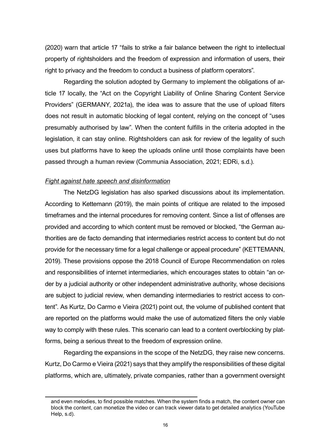<span id="page-15-0"></span>(2020) warn that article 17 "fails to strike a fair balance between the right to intellectual property of rightsholders and the freedom of expression and information of users, their right to privacy and the freedom to conduct a business of platform operators".

Regarding the solution adopted by Germany to implement the obligations of article 17 locally, the "Act on the Copyright Liability of Online Sharing Content Service Providers" (GERMANY, 2021a), the idea was to assure that the use of upload filters does not result in automatic blocking of legal content, relying on the concept of "uses presumably authorised by law". When the content fulfills in the criteria adopted in the legislation, it can stay online. Rightsholders can ask for review of the legality of such uses but platforms have to keep the uploads online until those complaints have been passed through a human review (Communia Association, 2021; EDRi, s.d.).

#### *Fight against hate speech and disinformation*

The NetzDG legislation has also sparked discussions about its implementation. According to Kettemann (2019), the main points of critique are related to the imposed timeframes and the internal procedures for removing content. Since a list of offenses are provided and according to which content must be removed or blocked, "the German authorities are de facto demanding that intermediaries restrict access to content but do not provide for the necessary time for a legal challenge or appeal procedure" (KETTEMANN, 2019). These provisions oppose the 2018 Council of Europe Recommendation on roles and responsibilities of internet intermediaries, which encourages states to obtain "an order by a judicial authority or other independent administrative authority, whose decisions are subject to judicial review, when demanding intermediaries to restrict access to content". As Kurtz, Do Carmo e Vieira (2021) point out, the volume of published content that are reported on the platforms would make the use of automatized filters the only viable way to comply with these rules. This scenario can lead to a content overblocking by platforms, being a serious threat to the freedom of expression online.

Regarding the expansions in the scope of the NetzDG, they raise new concerns. Kurtz, Do Carmo e Vieira (2021) says that they amplify the responsibilities of these digital platforms, which are, ultimately, private companies, rather than a government oversight

and even melodies, to find possible matches. When the system finds a match, the content owner can block the content, can monetize the video or can track viewer data to get detailed analytics (YouTube Help, s.d).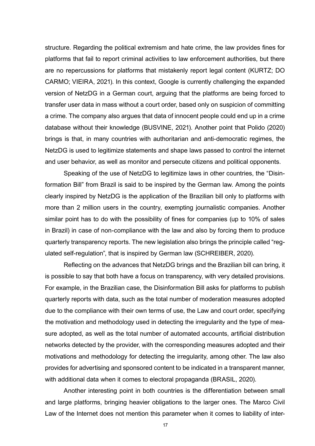structure. Regarding the political extremism and hate crime, the law provides fines for platforms that fail to report criminal activities to law enforcement authorities, but there are no repercussions for platforms that mistakenly report legal content (KURTZ; DO CARMO; VIEIRA, 2021). In this context, Google is currently challenging the expanded version of NetzDG in a German court, arguing that the platforms are being forced to transfer user data in mass without a court order, based only on suspicion of committing a crime. The company also argues that data of innocent people could end up in a crime database without their knowledge (BUSVINE, 2021). Another point that Polido (2020) brings is that, in many countries with authoritarian and anti-democratic regimes, the NetzDG is used to legitimize statements and shape laws passed to control the internet and user behavior, as well as monitor and persecute citizens and political opponents.

Speaking of the use of NetzDG to legitimize laws in other countries, the "Disinformation Bill" from Brazil is said to be inspired by the German law. Among the points clearly inspired by NetzDG is the application of the Brazilian bill only to platforms with more than 2 million users in the country, exempting journalistic companies. Another similar point has to do with the possibility of fines for companies (up to 10% of sales in Brazil) in case of non-compliance with the law and also by forcing them to produce quarterly transparency reports. The new legislation also brings the principle called "regulated self-regulation", that is inspired by German law (SCHREIBER, 2020).

Reflecting on the advances that NetzDG brings and the Brazilian bill can bring, it is possible to say that both have a focus on transparency, with very detailed provisions. For example, in the Brazilian case, the Disinformation Bill asks for platforms to publish quarterly reports with data, such as the total number of moderation measures adopted due to the compliance with their own terms of use, the Law and court order, specifying the motivation and methodology used in detecting the irregularity and the type of measure adopted, as well as the total number of automated accounts, artificial distribution networks detected by the provider, with the corresponding measures adopted and their motivations and methodology for detecting the irregularity, among other. The law also provides for advertising and sponsored content to be indicated in a transparent manner, with additional data when it comes to electoral propaganda (BRASIL, 2020).

Another interesting point in both countries is the differentiation between small and large platforms, bringing heavier obligations to the larger ones. The Marco Civil Law of the Internet does not mention this parameter when it comes to liability of inter-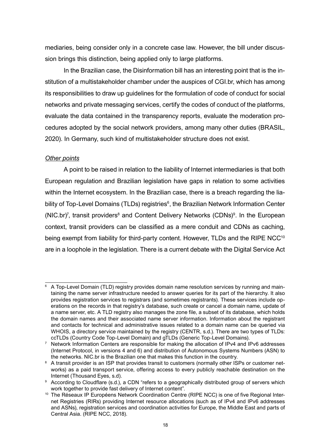<span id="page-17-0"></span>mediaries, being consider only in a concrete case law. However, the bill under discussion brings this distinction, being applied only to large platforms.

In the Brazilian case, the Disinformation bill has an interesting point that is the institution of a multistakeholder chamber under the auspices of CGI.br, which has among its responsibilities to draw up guidelines for the formulation of code of conduct for social networks and private messaging services, certify the codes of conduct of the platforms, evaluate the data contained in the transparency reports, evaluate the moderation procedures adopted by the social network providers, among many other duties (BRASIL, 2020). In Germany, such kind of multistakeholder structure does not exist.

## *Other points*

A point to be raised in relation to the liability of Internet intermediaries is that both European regulation and Brazilian legislation have gaps in relation to some activities within the Internet ecosystem. In the Brazilian case, there is a breach regarding the liability of Top-Level Domains (TLDs) registries<sup>6</sup>, the Brazilian Network Information Center (NIC.br)<sup>7</sup>, transit providers<sup>8</sup> and Content Delivery Networks (CDNs)<sup>9</sup>. In the European context, transit providers can be classified as a mere conduit and CDNs as caching, being exempt from liability for third-party content. However, TLDs and the RIPE NCC<sup>10</sup> are in a loophole in the legislation. There is a current debate with the Digital Service Act

<sup>6</sup> A Top-Level Domain (TLD) registry provides domain name resolution services by running and maintaining the name server infrastructure needed to answer queries for its part of the hierarchy. It also provides registration services to registrars (and sometimes registrants). These services include operations on the records in that registry's database, such create or cancel a domain name, update of a name server, etc. A TLD registry also manages the zone file, a subset of its database, which holds the domain names and their associated name server information. Information about the registrant and contacts for technical and administrative issues related to a domain name can be queried via WHOIS, a directory service maintained by the registry (CENTR, s.d.). There are two types of TLDs:

ccTLDs (Country Code Top-Level Domain) and gTLDs (Generic Top-Level Domains). 7 Network Information Centers are responsible for making the allocation of IPv4 and IPv6 addresses (Internet Protocol, in versions 4 and 6) and distribution of Autonomous Systems Numbers (ASN) to the networks. NIC.br is the Brazilian one that makes this function in the country.

<sup>&</sup>lt;sup>8</sup> A transit provider is an ISP that provides transit to customers (normally other ISPs or customer networks) as a paid transport service, offering access to every publicly reachable destination on the Internet (Thousand Eyes, s.d).

<sup>&</sup>lt;sup>9</sup> According to Cloudflare (s.d.), a CDN "refers to a geographically distributed group of servers which work together to provide fast delivery of Internet content".

<sup>&</sup>lt;sup>10</sup> The Réseaux IP Européens Network Coordination Centre (RIPE NCC) is one of five Regional Internet Registries (RIRs) providing Internet resource allocations (such as of IPv4 and IPv6 addresses and ASNs), registration services and coordination activities for Europe, the Middle East and parts of Central Asia. (RIPE NCC, 2018).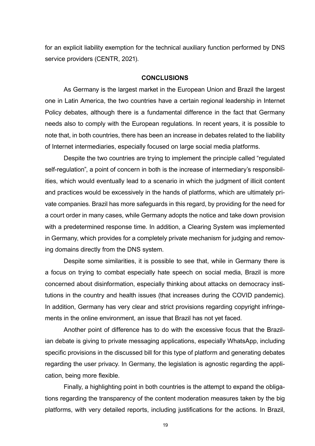<span id="page-18-0"></span>for an explicit liability exemption for the technical auxiliary function performed by DNS service providers (CENTR, 2021).

#### **CONCLUSIONS**

As Germany is the largest market in the European Union and Brazil the largest one in Latin America, the two countries have a certain regional leadership in Internet Policy debates, although there is a fundamental difference in the fact that Germany needs also to comply with the European regulations. In recent years, it is possible to note that, in both countries, there has been an increase in debates related to the liability of Internet intermediaries, especially focused on large social media platforms.

Despite the two countries are trying to implement the principle called "regulated self-regulation", a point of concern in both is the increase of intermediary's responsibilities, which would eventually lead to a scenario in which the judgment of illicit content and practices would be excessively in the hands of platforms, which are ultimately private companies. Brazil has more safeguards in this regard, by providing for the need for a court order in many cases, while Germany adopts the notice and take down provision with a predetermined response time. In addition, a Clearing System was implemented in Germany, which provides for a completely private mechanism for judging and removing domains directly from the DNS system.

Despite some similarities, it is possible to see that, while in Germany there is a focus on trying to combat especially hate speech on social media, Brazil is more concerned about disinformation, especially thinking about attacks on democracy institutions in the country and health issues (that increases during the COVID pandemic). In addition, Germany has very clear and strict provisions regarding copyright infringements in the online environment, an issue that Brazil has not yet faced.

Another point of difference has to do with the excessive focus that the Brazilian debate is giving to private messaging applications, especially WhatsApp, including specific provisions in the discussed bill for this type of platform and generating debates regarding the user privacy. In Germany, the legislation is agnostic regarding the application, being more flexible.

Finally, a highlighting point in both countries is the attempt to expand the obligations regarding the transparency of the content moderation measures taken by the big platforms, with very detailed reports, including justifications for the actions. In Brazil,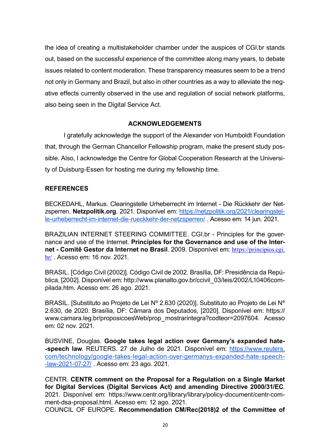<span id="page-19-0"></span>the idea of creating a multistakeholder chamber under the auspices of CGI.br stands out, based on the successful experience of the committee along many years, to debate issues related to content moderation. These transparency measures seem to be a trend not only in Germany and Brazil, but also in other countries as a way to alleviate the negative effects currently observed in the use and regulation of social network platforms, also being seen in the Digital Service Act.

## **ACKNOWLEDGEMENTS**

I gratefully acknowledge the support of the Alexander von Humboldt Foundation that, through the German Chancellor Fellowship program, make the present study possible. Also, I acknowledge the Centre for Global Cooperation Research at the University of Duisburg-Essen for hosting me during my fellowship time.

## **REFERENCES**

BECKEDAHL, Markus. Clearingstelle Urheberrecht im Internet - Die Rückkehr der Netzsperren. **Netzpolitik.org**. 2021. Disponível em: [https://netzpolitik.org/2021/clearingstel](https://netzpolitik.org/2021/clearingstelle-urheberrecht-im-internet-die-rueckkehr-der-netzsperren/)[le-urheberrecht-im-internet-die-rueckkehr-der-netzsperren/](https://netzpolitik.org/2021/clearingstelle-urheberrecht-im-internet-die-rueckkehr-der-netzsperren/) . Acesso em: 14 jun. 2021.

BRAZILIAN INTERNET STEERING COMMITTEE. CGI.br - Principles for the governance and use of the Internet. **Principles for the Governance and use of the Internet - Comitê Gestor da Internet no Brasil**. 2009. Disponível em: [https://principios.cgi.](https://principios.cgi.br/) [br/](https://principios.cgi.br/) . Acesso em: 16 nov. 2021.

BRASIL. [Código Civil (2002)]. Código Civil de 2002. Brasília, DF: Presidência da República, [2002]. Disponível em: http://www.planalto.gov.br/ccivil\_03/leis/2002/L10406compilada.htm. Acesso em: 26 ago. 2021.

BRASIL. [Substituto ao Projeto de Lei Nº 2.630 (2020)]. Substituto ao Projeto de Lei Nº 2.630, de 2020. Brasília, DF: Câmara dos Deputados, [2020]. Disponível em: https:// www.camara.leg.br/proposicoesWeb/prop\_mostrarintegra?codteor=2097604. Acesso em: 02 nov. 2021.

BUSVINE, Douglas. **Google takes legal action over Germany's expanded hate- -speech law**. REUTERS. 27 de Julho de 2021. Disponível em: [https://www.reuters.](https://www.reuters.com/technology/google-takes-legal-action-over-germanys-expanded-hate-speech-law-2021-07-27/) [com/technology/google-takes-legal-action-over-germanys-expanded-hate-speech-](https://www.reuters.com/technology/google-takes-legal-action-over-germanys-expanded-hate-speech-law-2021-07-27/) [-law-2021-07-27/](https://www.reuters.com/technology/google-takes-legal-action-over-germanys-expanded-hate-speech-law-2021-07-27/) . Acesso em: 23 ago. 2021.

CENTR. **CENTR comment on the Proposal for a Regulation on a Single Market for Digital Services (Digital Services Act) and amending Directive 2000/31/EC**. 2021. Disponível em: https://www.centr.org/library/library/policy-document/centr-comment-dsa-proposal.html. Acesso em: 12 ago. 2021.

COUNCIL OF EUROPE. **Recommendation CM/Rec(2018)2 of the Committee of**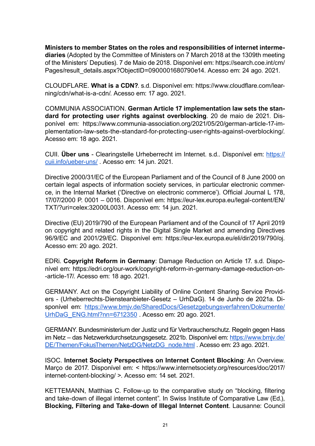**Ministers to member States on the roles and responsibilities of internet intermediaries** (Adopted by the Committee of Ministers on 7 March 2018 at the 1309th meeting of the Ministers' Deputies). 7 de Maio de 2018. Disponível em: https://search.coe.int/cm/ Pages/result\_details.aspx?ObjectID=0900001680790e14. Acesso em: 24 ago. 2021.

CLOUDFLARE. **What is a CDN?**. s.d. Disponível em: https://www.cloudflare.com/learning/cdn/what-is-a-cdn/. Acesso em: 17 ago. 2021.

COMMUNIA ASSOCIATION. **German Article 17 implementation law sets the standard for protecting user rights against overblocking**. 20 de maio de 2021. Disponível em: https://www.communia-association.org/2021/05/20/german-article-17-implementation-law-sets-the-standard-for-protecting-user-rights-against-overblocking/. Acesso em: 18 ago. 2021.

CUII. **Über uns** - Clearingstelle Urheberrecht im Internet. s.d.. Disponível em: [https://](https://cuii.info/ueber-uns/) [cuii.info/ueber-uns/](https://cuii.info/ueber-uns/) . Acesso em: 14 jun. 2021.

Directive 2000/31/EC of the European Parliament and of the Council of 8 June 2000 on certain legal aspects of information society services, in particular electronic commerce, in the Internal Market ('Directive on electronic commerce'). Official Journal L 178, 17/07/2000 P. 0001 – 0016. Disponível em: https://eur-lex.europa.eu/legal-content/EN/ TXT/?uri=celex:32000L0031. Acesso em: 14 jun. 2021.

Directive (EU) 2019/790 of the European Parliament and of the Council of 17 April 2019 on copyright and related rights in the Digital Single Market and amending Directives 96/9/EC and 2001/29/EC. Disponível em: https://eur-lex.europa.eu/eli/dir/2019/790/oj. Acesso em: 20 ago. 2021.

EDRi. **Copyright Reform in Germany**: Damage Reduction on Article 17. s.d. Disponível em: https://edri.org/our-work/copyright-reform-in-germany-damage-reduction-on- -article-17/. Acesso em: 18 ago. 2021.

GERMANY. Act on the Copyright Liability of Online Content Sharing Service Providers - (Urheberrechts-Diensteanbieter-Gesetz – UrhDaG). 14 de Junho de 2021a. Disponível em: [https://www.bmjv.de/SharedDocs/Gesetzgebungsverfahren/Dokumente/](https://www.bmjv.de/SharedDocs/Gesetzgebungsverfahren/Dokumente/UrhDaG_ENG.html?nn=6712350) [UrhDaG\\_ENG.html?nn=6712350](https://www.bmjv.de/SharedDocs/Gesetzgebungsverfahren/Dokumente/UrhDaG_ENG.html?nn=6712350) . Acesso em: 20 ago. 2021.

GERMANY. Bundesministerium der Justiz und für Verbraucherschutz. Regeln gegen Hass im Netz – das Netzwerkdurchsetzungsgesetz. 2021b. Disponível em: [https://www.bmjv.de/](https://www.bmjv.de/DE/Themen/FokusThemen/NetzDG/NetzDG_node.html) [DE/Themen/FokusThemen/NetzDG/NetzDG\\_node.html](https://www.bmjv.de/DE/Themen/FokusThemen/NetzDG/NetzDG_node.html) . Acesso em: 23 ago. 2021.

ISOC. **Internet Society Perspectives on Internet Content Blocking**: An Overview. Março de 2017. Disponível em: < https://www.internetsociety.org/resources/doc/2017/ internet-content-blocking/ >. Acesso em: 14 set. 2021.

KETTEMANN, Matthias C. Follow-up to the comparative study on "blocking, filtering and take-down of illegal internet content". In Swiss Institute of Comparative Law (Ed.), **Blocking, Filtering and Take-down of Illegal Internet Content**. Lausanne: Council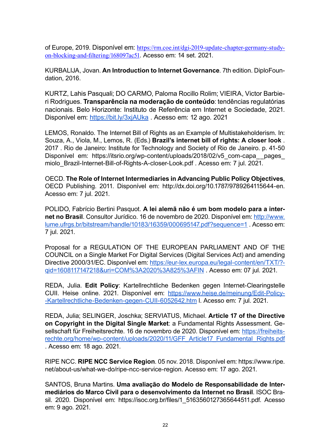of Europe, 2019. Disponível em: [https://rm.coe.int/dgi-2019-update-chapter-germany-study](https://rm.coe.int/dgi-2019-update-chapter-germany-study-on-blocking-and-filtering/168097ac51)[on-blocking-and-filtering/168097ac51](https://rm.coe.int/dgi-2019-update-chapter-germany-study-on-blocking-and-filtering/168097ac51). Acesso em: 14 set. 2021.

KURBALIJA, Jovan. **An Introduction to Internet Governance**. 7th edition. DiploFoundation, 2016.

KURTZ, Lahis Pasquali; DO CARMO, Paloma Rocillo Rolim; VIEIRA, Victor Barbieri Rodrigues. **Transparência na moderação de conteúdo**: tendências regulatórias nacionais. Belo Horizonte: Instituto de Referência em Internet e Sociedade, 2021. Disponível em: <https://bit.ly/3xjAUka>. Acesso em: 12 ago. 2021

LEMOS, Ronaldo. The Internet Bill of Rights as an Example of Multistakeholderism. In: Souza, A., Viola, M., Lemos, R. (Eds.) **Brazil's internet bill of rights: A closer look** . 2017 . Rio de Janeiro: Institute for Technology and Society of Rio de Janeiro. p. 41-50 Disponível em: https://itsrio.org/wp-content/uploads/2018/02/v5 com-capa pages miolo Brazil-Internet-Bill-of-Rights-A-closer-Look.pdf . Acesso em: 7 jul. 2021.

OECD. **The Role of Internet Intermediaries in Advancing Public Policy Objectives**, OECD Publishing. 2011. Disponível em: http://dx.doi.org/10.1787/9789264115644-en. Acesso em: 7 jul. 2021.

POLIDO, Fabrício Bertini Pasquot. **A lei alemã não é um bom modelo para a internet no Brasil**. Consultor Jurídico. 16 de novembro de 2020. Disponível em: [http://www.](http://www.lume.ufrgs.br/bitstream/handle/10183/16359/000695147.pdf?sequence=1) [lume.ufrgs.br/bitstream/handle/10183/16359/000695147.pdf?sequence=1](http://www.lume.ufrgs.br/bitstream/handle/10183/16359/000695147.pdf?sequence=1) . Acesso em: 7 jul. 2021.

Proposal for a REGULATION OF THE EUROPEAN PARLIAMENT AND OF THE COUNCIL on a Single Market For Digital Services (Digital Services Act) and amending Directive 2000/31/EC. Disponível em: [https://eur-lex.europa.eu/legal-content/en/TXT/?](https://eur-lex.europa.eu/legal-content/en/TXT/?qid=1608117147218&uri=COM%3A2020%3A825%3AFIN)[qid=1608117147218&uri=COM%3A2020%3A825%3AFIN](https://eur-lex.europa.eu/legal-content/en/TXT/?qid=1608117147218&uri=COM%3A2020%3A825%3AFIN) . Acesso em: 07 jul. 2021.

REDA, Julia. **Edit Policy**: Kartellrechtliche Bedenken gegen Internet-Clearingstelle CUII. Heise online. 2021. Disponível em: [https://www.heise.de/meinung/Edit-Policy-](https://www.heise.de/meinung/Edit-Policy-Kartellrechtliche-Bedenken-gegen-CUII-6052642.htm) [-Kartellrechtliche-Bedenken-gegen-CUII-6052642.htm](https://www.heise.de/meinung/Edit-Policy-Kartellrechtliche-Bedenken-gegen-CUII-6052642.htm) l. Acesso em: 7 jul. 2021.

REDA, Julia; SELINGER, Joschka; SERVIATUS, Michael. **Article 17 of the Directive on Copyright in the Digital Single Market**: a Fundamental Rights Assessment. Gesellschaft für Freiheitsrechte. 16 de novembro de 2020. Disponível em: [https://freiheits](https://freiheitsrechte.org/home/wp-content/uploads/2020/11/GFF_Article17_Fundamental_Rights.pdf)[rechte.org/home/wp-content/uploads/2020/11/GFF\\_Article17\\_Fundamental\\_Rights.pdf](https://freiheitsrechte.org/home/wp-content/uploads/2020/11/GFF_Article17_Fundamental_Rights.pdf) . Acesso em: 18 ago. 2021.

RIPE NCC. **RIPE NCC Service Region**. 05 nov. 2018. Disponível em: https://www.ripe. net/about-us/what-we-do/ripe-ncc-service-region. Acesso em: 17 ago. 2021.

SANTOS, Bruna Martins. **Uma avaliação do Modelo de Responsabilidade de Intermediários do Marco Civil para o desenvolvimento da Internet no Brasil**. ISOC Brasil. 2020. Disponível em: https://isoc.org.br/files/1\_5163560127365644511.pdf. Acesso em: 9 ago. 2021.